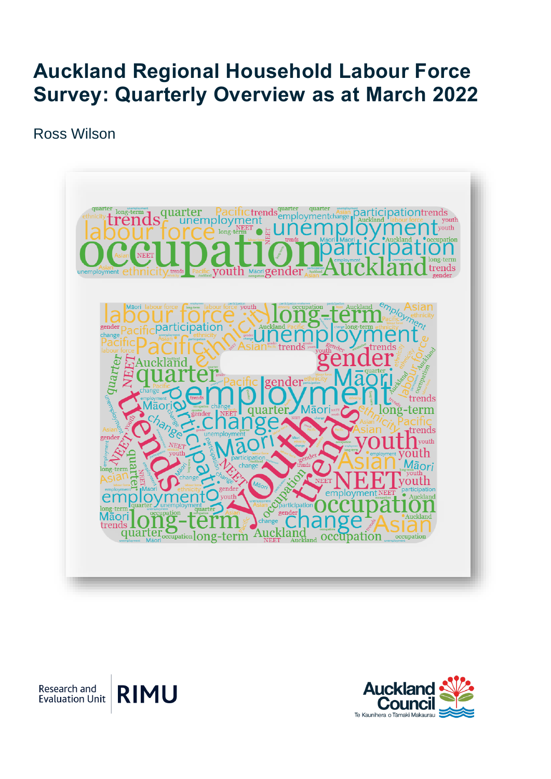## **Auckland Regional Household Labour Force Survey: Quarterly Overview as at March 2022**

Ross Wilson



**RIMU** Research and **Evaluation Unit** 

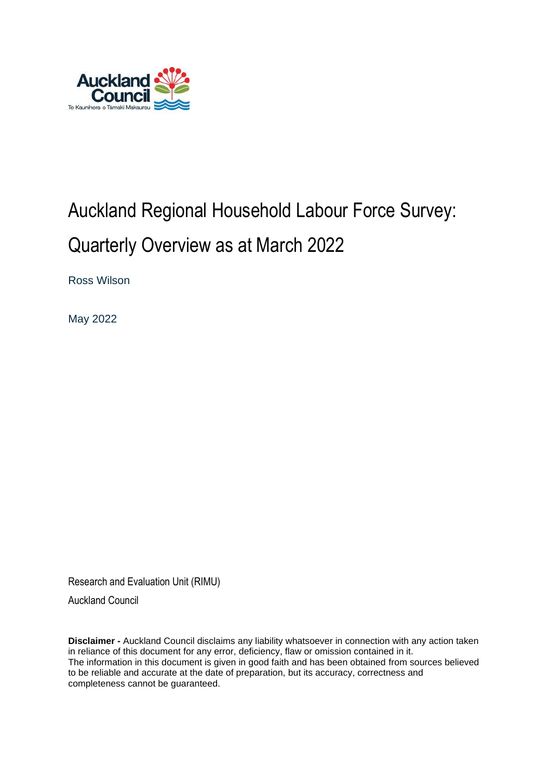

# Auckland Regional Household Labour Force Survey: Quarterly Overview as at March 2022

Ross Wilson

May 2022

Research and Evaluation Unit (RIMU)

Auckland Council

**Disclaimer -** Auckland Council disclaims any liability whatsoever in connection with any action taken in reliance of this document for any error, deficiency, flaw or omission contained in it. The information in this document is given in good faith and has been obtained from sources believed to be reliable and accurate at the date of preparation, but its accuracy, correctness and completeness cannot be guaranteed.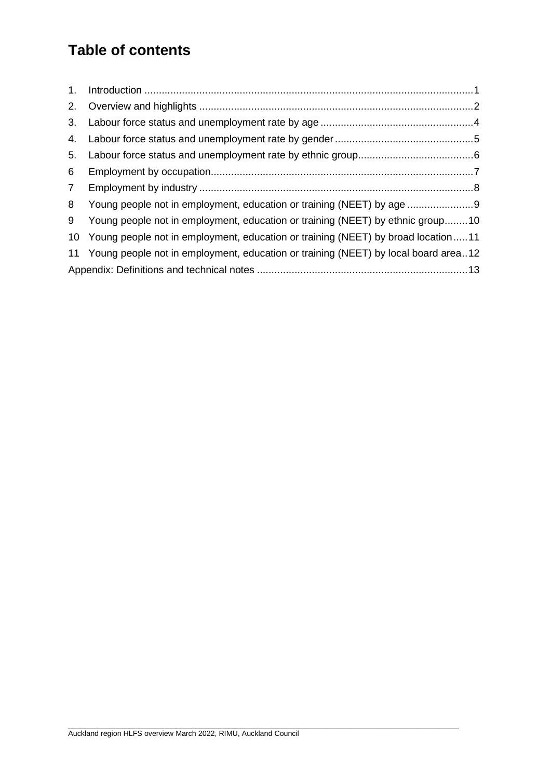### **Table of contents**

| 1.              |                                                                                       |  |
|-----------------|---------------------------------------------------------------------------------------|--|
| 2.              |                                                                                       |  |
| 3.              |                                                                                       |  |
| 4.              |                                                                                       |  |
| 5.              |                                                                                       |  |
| 6               |                                                                                       |  |
| $7\overline{ }$ |                                                                                       |  |
| 8               | Young people not in employment, education or training (NEET) by age                   |  |
| 9               | Young people not in employment, education or training (NEET) by ethnic group10        |  |
|                 | 10 Young people not in employment, education or training (NEET) by broad location11   |  |
|                 | 11 Young people not in employment, education or training (NEET) by local board area12 |  |
|                 |                                                                                       |  |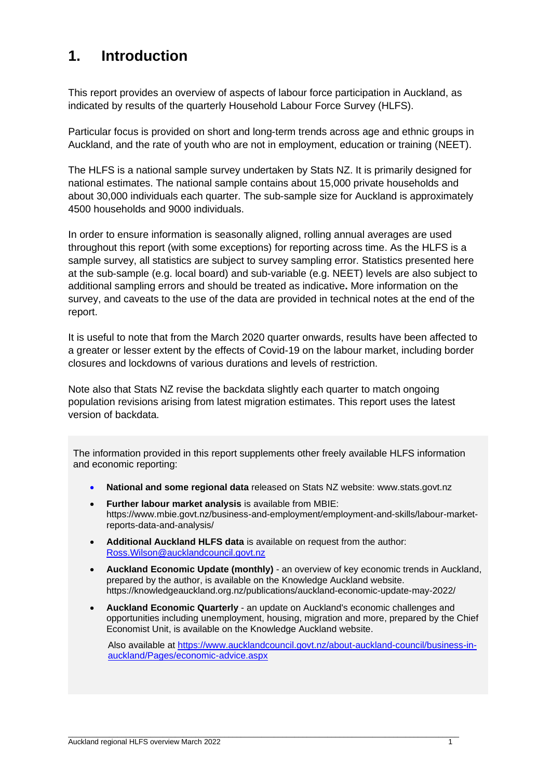#### <span id="page-3-0"></span>**1. Introduction**

This report provides an overview of aspects of labour force participation in Auckland, as indicated by results of the quarterly Household Labour Force Survey (HLFS).

Particular focus is provided on short and long-term trends across age and ethnic groups in Auckland, and the rate of youth who are not in employment, education or training (NEET).

The HLFS is a national sample survey undertaken by Stats NZ. It is primarily designed for national estimates. The national sample contains about 15,000 private households and about 30,000 individuals each quarter. The sub-sample size for Auckland is approximately 4500 households and 9000 individuals.

In order to ensure information is seasonally aligned, rolling annual averages are used throughout this report (with some exceptions) for reporting across time. As the HLFS is a sample survey, all statistics are subject to survey sampling error. Statistics presented here at the sub-sample (e.g. local board) and sub-variable (e.g. NEET) levels are also subject to additional sampling errors and should be treated as indicative**.** More information on the survey, and caveats to the use of the data are provided in technical notes at the end of the report.

It is useful to note that from the March 2020 quarter onwards, results have been affected to a greater or lesser extent by the effects of Covid-19 on the labour market, including border closures and lockdowns of various durations and levels of restriction.

Note also that Stats NZ revise the backdata slightly each quarter to match ongoing population revisions arising from latest migration estimates. This report uses the latest version of backdata.

The information provided in this report supplements other freely available HLFS information and economic reporting:

- **National and some regional data** released on Stats NZ website: www.stats.govt.nz
- **Further labour market analysis** is available from MBIE: [https://www.mbie.govt.nz/business-and-employment/employment-and-skills/labour-market](https://www.mbie.govt.nz/business-and-employment/employment-and-skills/labour-market-reports-data-and-analysis/)[reports-data-and-analysis/](https://www.mbie.govt.nz/business-and-employment/employment-and-skills/labour-market-reports-data-and-analysis/)
- **Additional Auckland HLFS data** is available on request from the author: Ross.Wilson@aucklandcouncil.govt.nz
- **Auckland Economic Update (monthly)** an overview of key economic trends in Auckland, prepared by the author, is available on the Knowledge Auckland website. https://knowledgeauckland.org.nz/publications/auckland-economic-update-may-2022/
- **Auckland Economic Quarterly** an update on Auckland's economic challenges and opportunities including unemployment, housing, migration and more, prepared by the Chief Economist Unit, is available on the Knowledge Auckland website.

Also available at [https://www.aucklandcouncil.govt.nz/about-auckland-council/business-in](https://www.aucklandcouncil.govt.nz/about-auckland-council/business-in-auckland/Pages/economic-advice.aspx)[auckland/Pages/economic-advice.aspx](https://www.aucklandcouncil.govt.nz/about-auckland-council/business-in-auckland/Pages/economic-advice.aspx)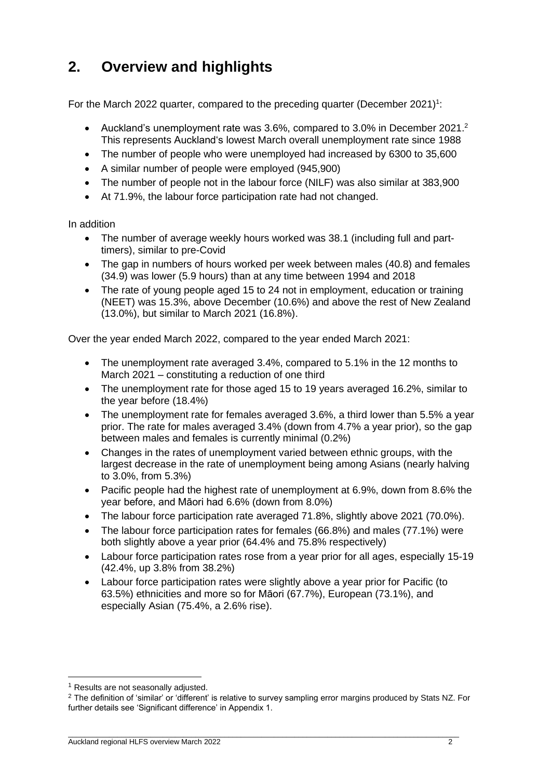### <span id="page-4-0"></span>**2. Overview and highlights**

For the March 2022 quarter, compared to the preceding quarter (December 2021)<sup>1</sup>:

- Auckland's unemployment rate was 3.6%, compared to 3.0% in December 2021.<sup>2</sup> This represents Auckland's lowest March overall unemployment rate since 1988
- The number of people who were unemployed had increased by 6300 to 35,600
- A similar number of people were employed (945,900)
- The number of people not in the labour force (NILF) was also similar at 383,900
- At 71.9%, the labour force participation rate had not changed.

In addition

- The number of average weekly hours worked was 38.1 (including full and parttimers), similar to pre-Covid
- The gap in numbers of hours worked per week between males (40.8) and females (34.9) was lower (5.9 hours) than at any time between 1994 and 2018
- The rate of young people aged 15 to 24 not in employment, education or training (NEET) was 15.3%, above December (10.6%) and above the rest of New Zealand (13.0%), but similar to March 2021 (16.8%).

Over the year ended March 2022, compared to the year ended March 2021:

- The unemployment rate averaged 3.4%, compared to 5.1% in the 12 months to March 2021 – constituting a reduction of one third
- The unemployment rate for those aged 15 to 19 years averaged 16.2%, similar to the year before (18.4%)
- The unemployment rate for females averaged 3.6%, a third lower than 5.5% a year prior. The rate for males averaged 3.4% (down from 4.7% a year prior), so the gap between males and females is currently minimal (0.2%)
- Changes in the rates of unemployment varied between ethnic groups, with the largest decrease in the rate of unemployment being among Asians (nearly halving to 3.0%, from 5.3%)
- Pacific people had the highest rate of unemployment at 6.9%, down from 8.6% the year before, and Māori had 6.6% (down from 8.0%)
- The labour force participation rate averaged 71.8%, slightly above 2021 (70.0%).
- The labour force participation rates for females (66.8%) and males (77.1%) were both slightly above a year prior (64.4% and 75.8% respectively)
- Labour force participation rates rose from a year prior for all ages, especially 15-19 (42.4%, up 3.8% from 38.2%)
- Labour force participation rates were slightly above a year prior for Pacific (to 63.5%) ethnicities and more so for Māori (67.7%), European (73.1%), and especially Asian (75.4%, a 2.6% rise).

<sup>1</sup> Results are not seasonally adjusted.

<sup>2</sup> The definition of 'similar' or 'different' is relative to survey sampling error margins produced by Stats NZ. For further details see 'Significant difference' in Appendix 1.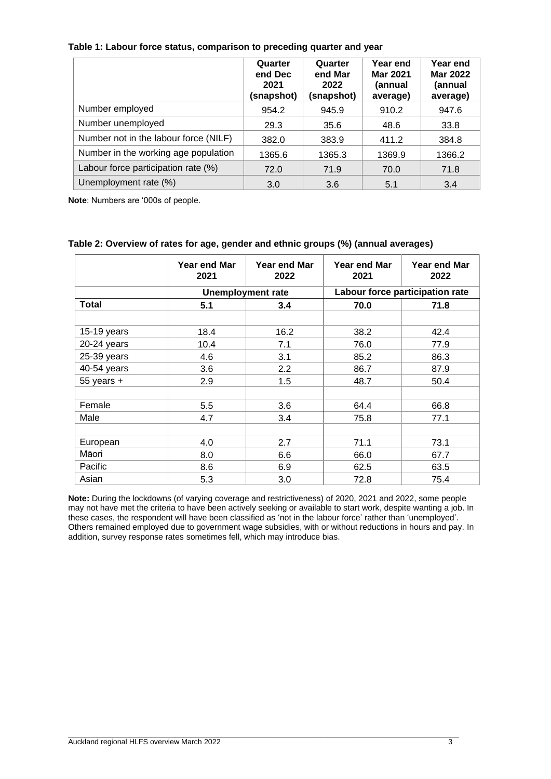| Table 1: Labour force status, comparison to preceding quarter and year |  |  |  |
|------------------------------------------------------------------------|--|--|--|
|------------------------------------------------------------------------|--|--|--|

|                                       | Quarter<br>end Dec<br>2021<br>(snapshot) | Quarter<br>end Mar<br>2022<br>(snapshot) | Year end<br><b>Mar 2021</b><br>(annual<br>average) | Year end<br><b>Mar 2022</b><br>(annual<br>average) |
|---------------------------------------|------------------------------------------|------------------------------------------|----------------------------------------------------|----------------------------------------------------|
| Number employed                       | 954.2                                    | 945.9                                    | 910.2                                              | 947.6                                              |
| Number unemployed                     | 29.3                                     | 35.6                                     | 48.6                                               | 33.8                                               |
| Number not in the labour force (NILF) | 382.0                                    | 383.9                                    | 411.2                                              | 384.8                                              |
| Number in the working age population  | 1365.6                                   | 1365.3                                   | 1369.9                                             | 1366.2                                             |
| Labour force participation rate (%)   | 72.0                                     | 71.9                                     | 70.0                                               | 71.8                                               |
| Unemployment rate (%)                 | 3.0                                      | 3.6                                      | 5.1                                                | 3.4                                                |

**Note**: Numbers are '000s of people.

|                | Year end Mar<br>2021 | Year end Mar<br>2022     | Year end Mar<br>2021 | Year end Mar<br>2022            |
|----------------|----------------------|--------------------------|----------------------|---------------------------------|
|                |                      | <b>Unemployment rate</b> |                      | Labour force participation rate |
| <b>Total</b>   | 5.1                  | 3.4                      | 70.0                 | 71.8                            |
|                |                      |                          |                      |                                 |
| 15-19 years    | 18.4                 | 16.2                     | 38.2                 | 42.4                            |
| 20-24 years    | 10.4                 | 7.1                      | 76.0                 | 77.9                            |
| 25-39 years    | 4.6                  | 3.1                      | 85.2                 | 86.3                            |
| 40-54 years    | 3.6                  | 2.2                      | 86.7                 | 87.9                            |
| $55$ years $+$ | 2.9                  | 1.5                      | 48.7                 | 50.4                            |
|                |                      |                          |                      |                                 |
| Female         | 5.5                  | 3.6                      | 64.4                 | 66.8                            |
| Male           | 4.7                  | 3.4                      | 75.8                 | 77.1                            |
|                |                      |                          |                      |                                 |
| European       | 4.0                  | 2.7                      | 71.1                 | 73.1                            |
| Māori          | 8.0                  | 6.6                      | 66.0                 | 67.7                            |
| Pacific        | 8.6                  | 6.9                      | 62.5                 | 63.5                            |
| Asian          | 5.3                  | 3.0                      | 72.8                 | 75.4                            |

#### **Table 2: Overview of rates for age, gender and ethnic groups (%) (annual averages)**

**Note:** During the lockdowns (of varying coverage and restrictiveness) of 2020, 2021 and 2022, some people may not have met the criteria to have been actively seeking or available to start work, despite wanting a job. In these cases, the respondent will have been classified as 'not in the labour force' rather than 'unemployed'. Others remained employed due to government wage subsidies, with or without reductions in hours and pay. In addition, survey response rates sometimes fell, which may introduce bias.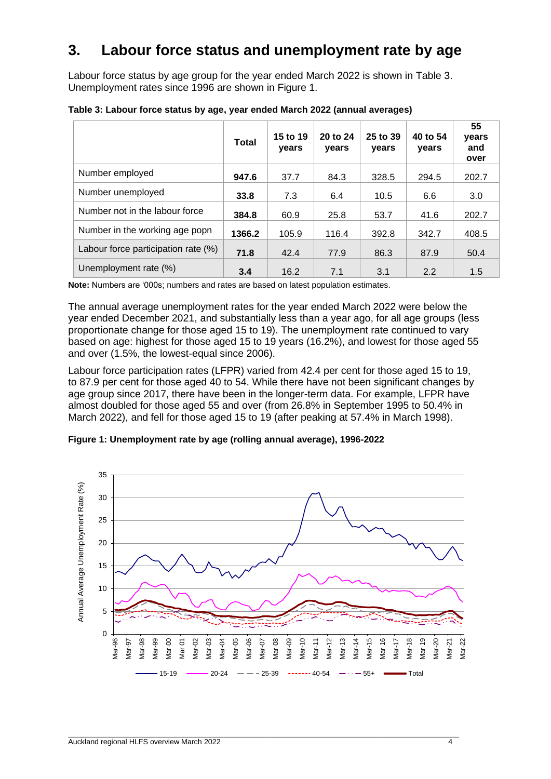#### <span id="page-6-0"></span>**3. Labour force status and unemployment rate by age**

Labour force status by age group for the year ended March 2022 is shown in Table 3. Unemployment rates since 1996 are shown in Figure 1.

|                                     | Total  | 15 to 19<br>years | 20 to 24<br>years | 25 to 39<br>years | 40 to 54<br>years | 55<br>years<br>and<br>over |
|-------------------------------------|--------|-------------------|-------------------|-------------------|-------------------|----------------------------|
| Number employed                     | 947.6  | 37.7              | 84.3              | 328.5             | 294.5             | 202.7                      |
| Number unemployed                   | 33.8   | 7.3               | 6.4               | 10.5              | 6.6               | 3.0                        |
| Number not in the labour force      | 384.8  | 60.9              | 25.8              | 53.7              | 41.6              | 202.7                      |
| Number in the working age popn      | 1366.2 | 105.9             | 116.4             | 392.8             | 342.7             | 408.5                      |
| Labour force participation rate (%) | 71.8   | 42.4              | 77.9              | 86.3              | 87.9              | 50.4                       |
| Unemployment rate (%)               | 3.4    | 16.2              | 7.1               | 3.1               | 2.2               | 1.5                        |

**Table 3: Labour force status by age, year ended March 2022 (annual averages)**

**Note:** Numbers are '000s; numbers and rates are based on latest population estimates.

The annual average unemployment rates for the year ended March 2022 were below the year ended December 2021, and substantially less than a year ago, for all age groups (less proportionate change for those aged 15 to 19). The unemployment rate continued to vary based on age: highest for those aged 15 to 19 years (16.2%), and lowest for those aged 55 and over (1.5%, the lowest-equal since 2006).

Labour force participation rates (LFPR) varied from 42.4 per cent for those aged 15 to 19, to 87.9 per cent for those aged 40 to 54. While there have not been significant changes by age group since 2017, there have been in the longer-term data. For example, LFPR have almost doubled for those aged 55 and over (from 26.8% in September 1995 to 50.4% in March 2022), and fell for those aged 15 to 19 (after peaking at 57.4% in March 1998).

**Figure 1: Unemployment rate by age (rolling annual average), 1996-2022**

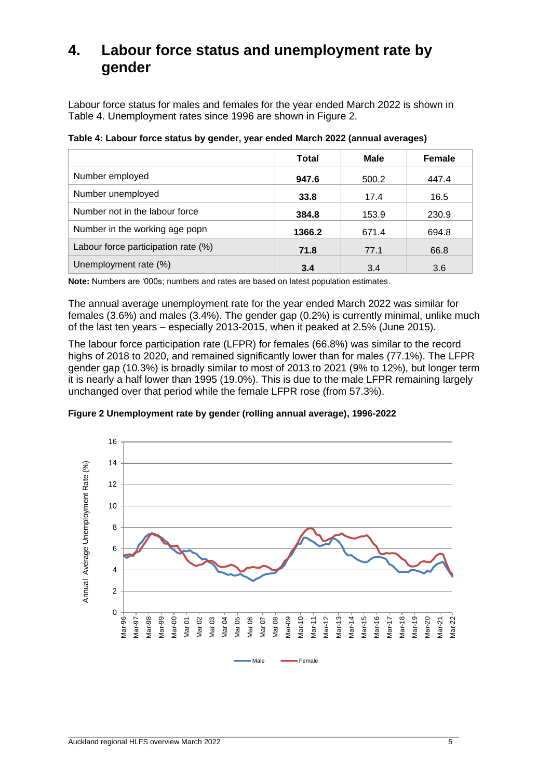#### <span id="page-7-0"></span>**4. Labour force status and unemployment rate by gender**

Labour force status for males and females for the year ended March 2022 is shown in Table 4. Unemployment rates since 1996 are shown in Figure 2.

**Table 4: Labour force status by gender, year ended March 2022 (annual averages)** 

|                                     | Total  | Male  | <b>Female</b> |
|-------------------------------------|--------|-------|---------------|
| Number employed                     | 947.6  | 500.2 | 447.4         |
| Number unemployed                   | 33.8   | 17.4  | 16.5          |
| Number not in the labour force      | 384.8  | 153.9 | 230.9         |
| Number in the working age popn      | 1366.2 | 671.4 | 694.8         |
| Labour force participation rate (%) | 71.8   | 77.1  | 66.8          |
| Unemployment rate (%)               | 3.4    | 3.4   | 3.6           |

**Note:** Numbers are '000s; numbers and rates are based on latest population estimates.

The annual average unemployment rate for the year ended March 2022 was similar for females (3.6%) and males (3.4%). The gender gap (0.2%) is currently minimal, unlike much of the last ten years – especially 2013-2015, when it peaked at 2.5% (June 2015).

The labour force participation rate (LFPR) for females (66.8%) was similar to the record highs of 2018 to 2020, and remained significantly lower than for males (77.1%). The LFPR gender gap (10.3%) is broadly similar to most of 2013 to 2021 (9% to 12%), but longer term it is nearly a half lower than 1995 (19.0%). This is due to the male LFPR remaining largely unchanged over that period while the female LFPR rose (from 57.3%).



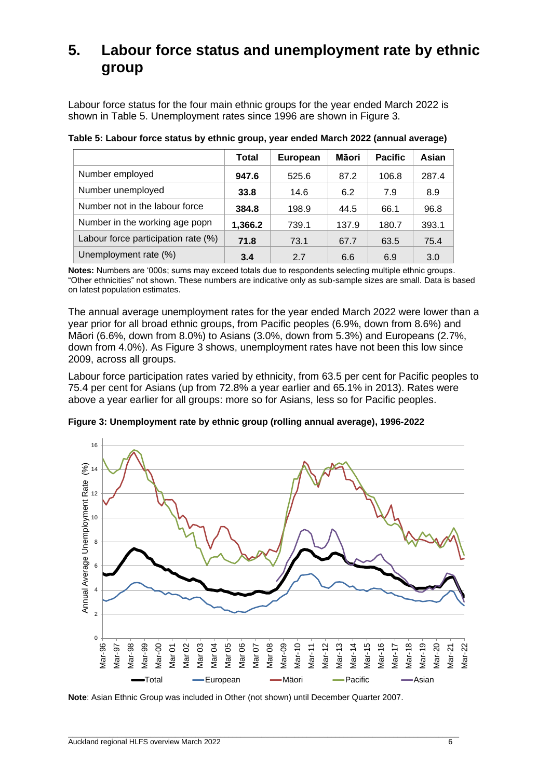### <span id="page-8-0"></span>**5. Labour force status and unemployment rate by ethnic group**

Labour force status for the four main ethnic groups for the year ended March 2022 is shown in Table 5. Unemployment rates since 1996 are shown in Figure 3.

|                                     | Total   | <b>European</b> | Māori | <b>Pacific</b> | Asian |
|-------------------------------------|---------|-----------------|-------|----------------|-------|
| Number employed                     | 947.6   | 525.6           | 87.2  | 106.8          | 287.4 |
| Number unemployed                   | 33.8    | 14.6            | 6.2   | 7.9            | 8.9   |
| Number not in the labour force      | 384.8   | 198.9           | 44.5  | 66.1           | 96.8  |
| Number in the working age popn      | 1,366.2 | 739.1           | 137.9 | 180.7          | 393.1 |
| Labour force participation rate (%) | 71.8    | 73.1            | 67.7  | 63.5           | 75.4  |
| Unemployment rate (%)               | 3.4     | 2.7             | 6.6   | 6.9            | 3.0   |

**Table 5: Labour force status by ethnic group, year ended March 2022 (annual average)**

**Notes:** Numbers are '000s; sums may exceed totals due to respondents selecting multiple ethnic groups. "Other ethnicities" not shown. These numbers are indicative only as sub-sample sizes are small. Data is based on latest population estimates.

The annual average unemployment rates for the year ended March 2022 were lower than a year prior for all broad ethnic groups, from Pacific peoples (6.9%, down from 8.6%) and Māori (6.6%, down from 8.0%) to Asians (3.0%, down from 5.3%) and Europeans (2.7%, down from 4.0%). As Figure 3 shows, unemployment rates have not been this low since 2009, across all groups.

Labour force participation rates varied by ethnicity, from 63.5 per cent for Pacific peoples to 75.4 per cent for Asians (up from 72.8% a year earlier and 65.1% in 2013). Rates were above a year earlier for all groups: more so for Asians, less so for Pacific peoples.

**Figure 3: Unemployment rate by ethnic group (rolling annual average), 1996-2022**



**Note**: Asian Ethnic Group was included in Other (not shown) until December Quarter 2007.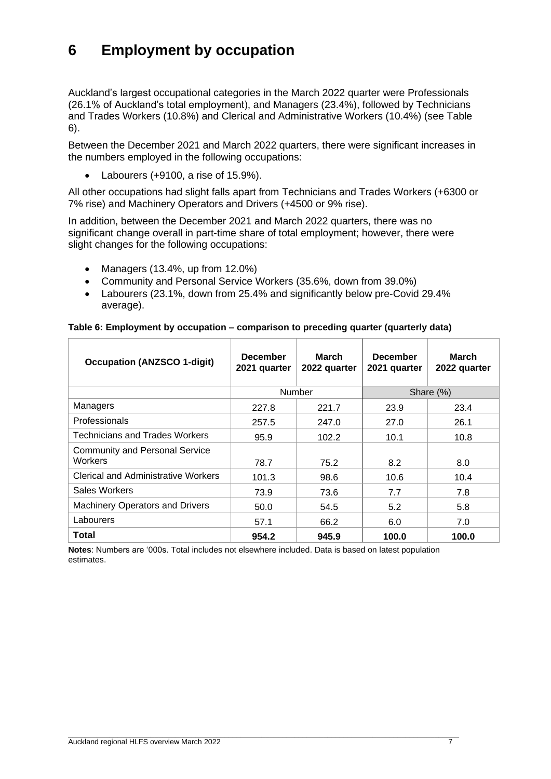### <span id="page-9-0"></span>**6 Employment by occupation**

Auckland's largest occupational categories in the March 2022 quarter were Professionals (26.1% of Auckland's total employment), and Managers (23.4%), followed by Technicians and Trades Workers (10.8%) and Clerical and Administrative Workers (10.4%) (see Table 6).

Between the December 2021 and March 2022 quarters, there were significant increases in the numbers employed in the following occupations:

• Labourers (+9100, a rise of 15.9%).

All other occupations had slight falls apart from Technicians and Trades Workers (+6300 or 7% rise) and Machinery Operators and Drivers (+4500 or 9% rise).

In addition, between the December 2021 and March 2022 quarters, there was no significant change overall in part-time share of total employment; however, there were slight changes for the following occupations:

- Managers (13.4%, up from 12.0%)
- Community and Personal Service Workers (35.6%, down from 39.0%)
- Labourers (23.1%, down from 25.4% and significantly below pre-Covid 29.4% average).

| <b>Occupation (ANZSCO 1-digit)</b>               | <b>December</b><br>2021 quarter | <b>March</b><br>2022 quarter | <b>December</b><br>2021 quarter | <b>March</b><br>2022 quarter |
|--------------------------------------------------|---------------------------------|------------------------------|---------------------------------|------------------------------|
|                                                  |                                 | Number                       |                                 | Share (%)                    |
| Managers                                         | 227.8                           | 221.7                        | 23.9                            | 23.4                         |
| Professionals                                    | 257.5                           | 247.0                        | 27.0                            | 26.1                         |
| <b>Technicians and Trades Workers</b>            | 95.9                            | 102.2                        | 10.1                            | 10.8                         |
| <b>Community and Personal Service</b><br>Workers | 78.7                            | 75.2                         | 8.2                             | 8.0                          |
| <b>Clerical and Administrative Workers</b>       | 101.3                           | 98.6                         | 10.6                            | 10.4                         |
| Sales Workers                                    | 73.9                            | 73.6                         | 7.7                             | 7.8                          |
| <b>Machinery Operators and Drivers</b>           | 50.0                            | 54.5                         | 5.2                             | 5.8                          |

#### **Table 6: Employment by occupation – comparison to preceding quarter (quarterly data)**

**Notes**: Numbers are '000s. Total includes not elsewhere included. Data is based on latest population estimates.

Labourers  $\begin{array}{|c|c|c|c|c|c|} \hline \text{Labou } & \text{57.1} & \text{66.2} & \text{6.0} & \text{7.0} \ \hline \end{array}$ **Total 954.2 945.9 100.0 100.0**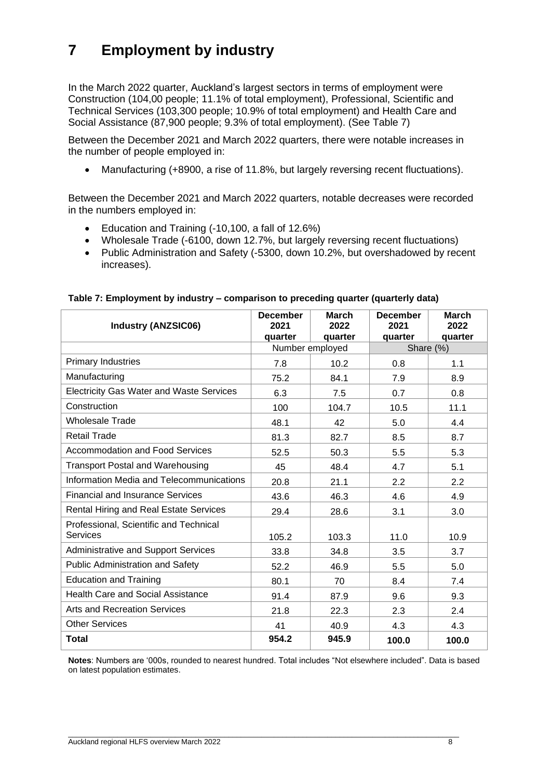### <span id="page-10-0"></span>**7 Employment by industry**

In the March 2022 quarter, Auckland's largest sectors in terms of employment were Construction (104,00 people; 11.1% of total employment), Professional, Scientific and Technical Services (103,300 people; 10.9% of total employment) and Health Care and Social Assistance (87,900 people; 9.3% of total employment). (See Table 7)

Between the December 2021 and March 2022 quarters, there were notable increases in the number of people employed in:

• Manufacturing (+8900, a rise of 11.8%, but largely reversing recent fluctuations).

Between the December 2021 and March 2022 quarters, notable decreases were recorded in the numbers employed in:

- Education and Training (-10,100, a fall of 12.6%)
- Wholesale Trade (-6100, down 12.7%, but largely reversing recent fluctuations)
- Public Administration and Safety (-5300, down 10.2%, but overshadowed by recent increases).

| <b>Industry (ANZSIC06)</b>                      | <b>December</b><br>2021 | <b>March</b><br>2022 | <b>December</b><br>2021 | <b>March</b><br>2022 |
|-------------------------------------------------|-------------------------|----------------------|-------------------------|----------------------|
|                                                 | quarter                 | quarter              | quarter                 | quarter              |
|                                                 |                         | Number employed      | Share (%)               |                      |
| <b>Primary Industries</b>                       | 7.8                     | 10.2                 | 0.8                     | 1.1                  |
| Manufacturing                                   | 75.2                    | 84.1                 | 7.9                     | 8.9                  |
| <b>Electricity Gas Water and Waste Services</b> | 6.3                     | 7.5                  | 0.7                     | 0.8                  |
| Construction                                    | 100                     | 104.7                | 10.5                    | 11.1                 |
| <b>Wholesale Trade</b>                          | 48.1                    | 42                   | 5.0                     | 4.4                  |
| <b>Retail Trade</b>                             | 81.3                    | 82.7                 | 8.5                     | 8.7                  |
| <b>Accommodation and Food Services</b>          | 52.5                    | 50.3                 | 5.5                     | 5.3                  |
| <b>Transport Postal and Warehousing</b>         | 45                      | 48.4                 | 4.7                     | 5.1                  |
| Information Media and Telecommunications        | 20.8                    | 21.1                 | 2.2                     | 2.2                  |
| <b>Financial and Insurance Services</b>         | 43.6                    | 46.3                 | 4.6                     | 4.9                  |
| Rental Hiring and Real Estate Services          | 29.4                    | 28.6                 | 3.1                     | 3.0                  |
| Professional, Scientific and Technical          |                         |                      |                         |                      |
| Services                                        | 105.2                   | 103.3                | 11.0                    | 10.9                 |
| Administrative and Support Services             | 33.8                    | 34.8                 | 3.5                     | 3.7                  |
| <b>Public Administration and Safety</b>         | 52.2                    | 46.9                 | 5.5                     | 5.0                  |
| <b>Education and Training</b>                   | 80.1                    | 70                   | 8.4                     | 7.4                  |
| <b>Health Care and Social Assistance</b>        | 91.4                    | 87.9                 | 9.6                     | 9.3                  |
| <b>Arts and Recreation Services</b>             | 21.8                    | 22.3                 | 2.3                     | 2.4                  |
| <b>Other Services</b>                           | 41                      | 40.9                 | 4.3                     | 4.3                  |
| <b>Total</b>                                    | 954.2                   | 945.9                | 100.0                   | 100.0                |

#### **Table 7: Employment by industry – comparison to preceding quarter (quarterly data)**

**Notes**: Numbers are '000s, rounded to nearest hundred. Total includes "Not elsewhere included". Data is based on latest population estimates.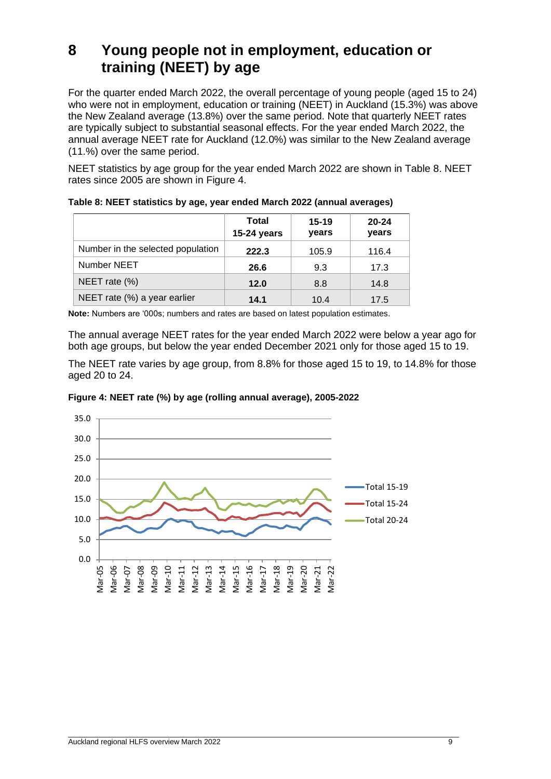### <span id="page-11-0"></span>**8 Young people not in employment, education or training (NEET) by age**

For the quarter ended March 2022, the overall percentage of young people (aged 15 to 24) who were not in employment, education or training (NEET) in Auckland (15.3%) was above the New Zealand average (13.8%) over the same period. Note that quarterly NEET rates are typically subject to substantial seasonal effects. For the year ended March 2022, the annual average NEET rate for Auckland (12.0%) was similar to the New Zealand average (11.%) over the same period.

NEET statistics by age group for the year ended March 2022 are shown in Table 8. NEET rates since 2005 are shown in Figure 4.

|                                   | Total<br>15-24 years | $15 - 19$<br>years | $20 - 24$<br>years |
|-----------------------------------|----------------------|--------------------|--------------------|
| Number in the selected population | 222.3                | 105.9              | 116.4              |
| Number NEET                       | 26.6                 | 9.3                | 17.3               |
| NEET rate $(\%)$                  | 12.0                 | 8.8                | 14.8               |
| NEET rate (%) a year earlier      | 14.1                 | 10.4               | 17.5               |

|  |  |  | Table 8: NEET statistics by age, year ended March 2022 (annual averages) |
|--|--|--|--------------------------------------------------------------------------|
|--|--|--|--------------------------------------------------------------------------|

**Note:** Numbers are '000s; numbers and rates are based on latest population estimates.

The annual average NEET rates for the year ended March 2022 were below a year ago for both age groups, but below the year ended December 2021 only for those aged 15 to 19.

The NEET rate varies by age group, from 8.8% for those aged 15 to 19, to 14.8% for those aged 20 to 24.



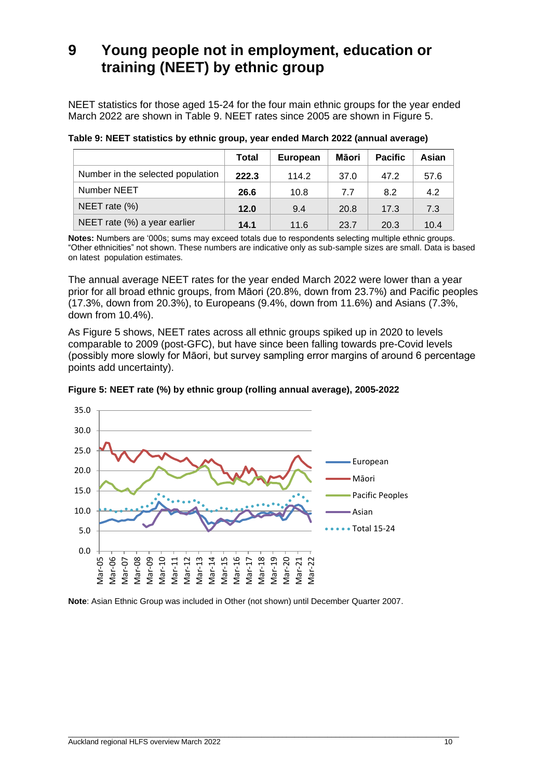### <span id="page-12-0"></span>**9 Young people not in employment, education or training (NEET) by ethnic group**

NEET statistics for those aged 15-24 for the four main ethnic groups for the year ended March 2022 are shown in Table 9. NEET rates since 2005 are shown in Figure 5.

|                                   | <b>Total</b> | <b>European</b> | Māori | <b>Pacific</b> | Asian |
|-----------------------------------|--------------|-----------------|-------|----------------|-------|
| Number in the selected population | 222.3        | 114.2           | 37.0  | 47.2           | 57.6  |
| Number NEET                       | 26.6         | 10.8            | 7.7   | 8.2            | 4.2   |
| NEET rate (%)                     | 12.0         | 9.4             | 20.8  | 17.3           | 7.3   |
| NEET rate (%) a year earlier      | 14.1         | 11.6            | 23.7  | 20.3           | 10.4  |

**Table 9: NEET statistics by ethnic group, year ended March 2022 (annual average)**

**Notes:** Numbers are '000s; sums may exceed totals due to respondents selecting multiple ethnic groups. "Other ethnicities" not shown. These numbers are indicative only as sub-sample sizes are small. Data is based on latest population estimates.

The annual average NEET rates for the year ended March 2022 were lower than a year prior for all broad ethnic groups, from Māori (20.8%, down from 23.7%) and Pacific peoples (17.3%, down from 20.3%), to Europeans (9.4%, down from 11.6%) and Asians (7.3%, down from 10.4%).

As Figure 5 shows, NEET rates across all ethnic groups spiked up in 2020 to levels comparable to 2009 (post-GFC), but have since been falling towards pre-Covid levels (possibly more slowly for Māori, but survey sampling error margins of around 6 percentage points add uncertainty).





**Note**: Asian Ethnic Group was included in Other (not shown) until December Quarter 2007.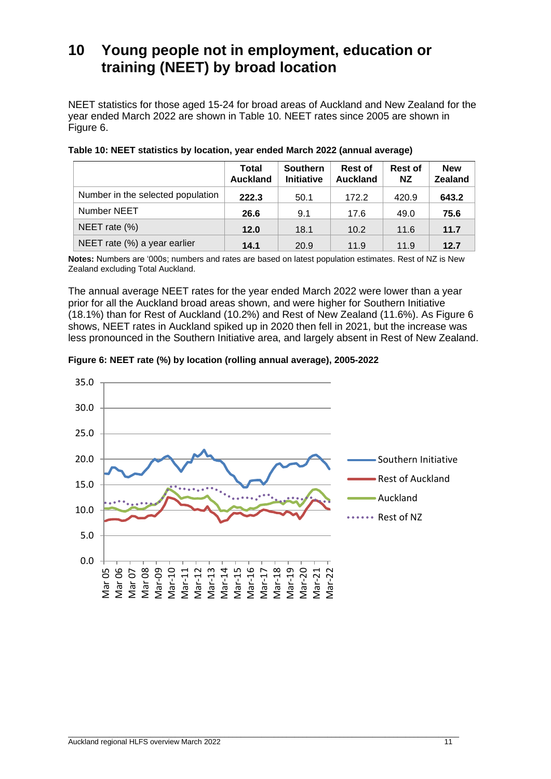### <span id="page-13-0"></span>**10 Young people not in employment, education or training (NEET) by broad location**

NEET statistics for those aged 15-24 for broad areas of Auckland and New Zealand for the year ended March 2022 are shown in Table 10. NEET rates since 2005 are shown in Figure 6.

|                                   | <b>Total</b><br><b>Auckland</b> | <b>Southern</b><br><b>Initiative</b> | <b>Rest of</b><br><b>Auckland</b> | <b>Rest of</b><br><b>NZ</b> | <b>New</b><br><b>Zealand</b> |
|-----------------------------------|---------------------------------|--------------------------------------|-----------------------------------|-----------------------------|------------------------------|
| Number in the selected population | 222.3                           | 50.1                                 | 172.2                             | 420.9                       | 643.2                        |
| Number NEET                       | 26.6                            | 9.1                                  | 17.6                              | 49.0                        | 75.6                         |
| NEET rate (%)                     | 12.0                            | 18.1                                 | 10.2                              | 11.6                        | 11.7                         |
| NEET rate (%) a year earlier      | 14.1                            | 20.9                                 | 11.9                              | 11.9                        | 12.7                         |

**Table 10: NEET statistics by location, year ended March 2022 (annual average)**

**Notes:** Numbers are '000s; numbers and rates are based on latest population estimates. Rest of NZ is New Zealand excluding Total Auckland.

The annual average NEET rates for the year ended March 2022 were lower than a year prior for all the Auckland broad areas shown, and were higher for Southern Initiative (18.1%) than for Rest of Auckland (10.2%) and Rest of New Zealand (11.6%). As Figure 6 shows, NEET rates in Auckland spiked up in 2020 then fell in 2021, but the increase was less pronounced in the Southern Initiative area, and largely absent in Rest of New Zealand.



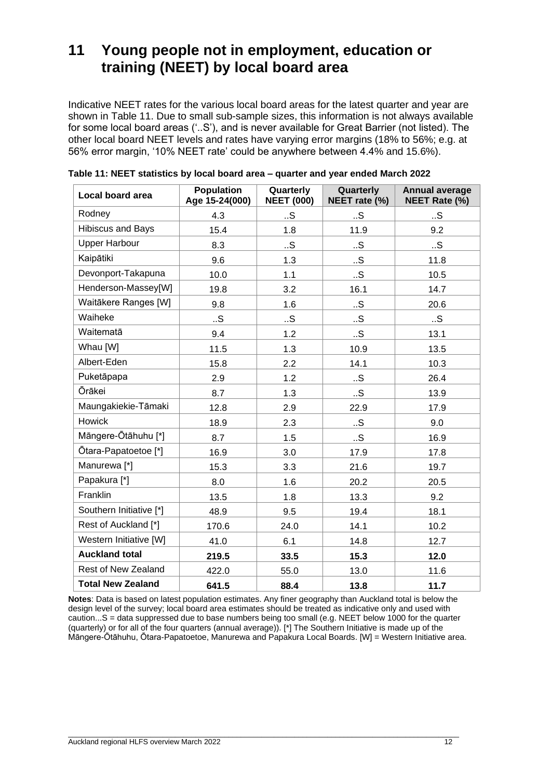### <span id="page-14-0"></span>**11 Young people not in employment, education or training (NEET) by local board area**

Indicative NEET rates for the various local board areas for the latest quarter and year are shown in Table 11. Due to small sub-sample sizes, this information is not always available for some local board areas ('..S'), and is never available for Great Barrier (not listed). The other local board NEET levels and rates have varying error margins (18% to 56%; e.g. at 56% error margin, '10% NEET rate' could be anywhere between 4.4% and 15.6%).

| Local board area         | <b>Population</b><br>Age 15-24(000) | Quarterly<br><b>NEET (000)</b> | Quarterly<br>NEET rate (%) | <b>Annual average</b><br>NEET Rate (%) |
|--------------------------|-------------------------------------|--------------------------------|----------------------------|----------------------------------------|
| Rodney                   | 4.3                                 | S                              | .S                         | .S                                     |
| <b>Hibiscus and Bays</b> | 15.4                                | 1.8                            | 11.9                       | 9.2                                    |
| <b>Upper Harbour</b>     | 8.3                                 | .S                             | .S.                        | .S                                     |
| Kaipātiki                | 9.6                                 | 1.3                            | .S                         | 11.8                                   |
| Devonport-Takapuna       | 10.0                                | 1.1                            | .S.                        | 10.5                                   |
| Henderson-Massey[W]      | 19.8                                | 3.2                            | 16.1                       | 14.7                                   |
| Waitākere Ranges [W]     | 9.8                                 | 1.6                            | .S.                        | 20.6                                   |
| Waiheke                  | .S.                                 | .S                             | .S.                        | .S                                     |
| Waitematā                | 9.4                                 | 1.2                            | .S.                        | 13.1                                   |
| Whau [W]                 | 11.5                                | 1.3                            | 10.9                       | 13.5                                   |
| Albert-Eden              | 15.8                                | 2.2                            | 14.1                       | 10.3                                   |
| Puketāpapa               | 2.9                                 | 1.2                            | .S.                        | 26.4                                   |
| <b>Ōrākei</b>            | 8.7                                 | 1.3                            | .S.                        | 13.9                                   |
| Maungakiekie-Tāmaki      | 12.8                                | 2.9                            | 22.9                       | 17.9                                   |
| Howick                   | 18.9                                | 2.3                            | .S.                        | 9.0                                    |
| Māngere-Ōtāhuhu [*]      | 8.7                                 | 1.5                            | .S.                        | 16.9                                   |
| Ōtara-Papatoetoe [*]     | 16.9                                | 3.0                            | 17.9                       | 17.8                                   |
| Manurewa <sup>[*]</sup>  | 15.3                                | 3.3                            | 21.6                       | 19.7                                   |
| Papakura <sup>[*]</sup>  | 8.0                                 | 1.6                            | 20.2                       | 20.5                                   |
| Franklin                 | 13.5                                | 1.8                            | 13.3                       | 9.2                                    |
| Southern Initiative [*]  | 48.9                                | 9.5                            | 19.4                       | 18.1                                   |
| Rest of Auckland [*]     | 170.6                               | 24.0                           | 14.1                       | 10.2                                   |
| Western Initiative [W]   | 41.0                                | 6.1                            | 14.8                       | 12.7                                   |
| <b>Auckland total</b>    | 219.5                               | 33.5                           | 15.3                       | 12.0                                   |
| Rest of New Zealand      | 422.0                               | 55.0                           | 13.0                       | 11.6                                   |
| <b>Total New Zealand</b> | 641.5                               | 88.4                           | 13.8                       | 11.7                                   |

| Table 11: NEET statistics by local board area - quarter and year ended March 2022 |  |
|-----------------------------------------------------------------------------------|--|
|                                                                                   |  |

**Notes**: Data is based on latest population estimates. Any finer geography than Auckland total is below the design level of the survey; local board area estimates should be treated as indicative only and used with caution...S = data suppressed due to base numbers being too small (e.g. NEET below 1000 for the quarter (quarterly) or for all of the four quarters (annual average)). [\*] The Southern Initiative is made up of the Māngere-Ōtāhuhu, Ōtara-Papatoetoe, Manurewa and Papakura Local Boards. [W] = Western Initiative area.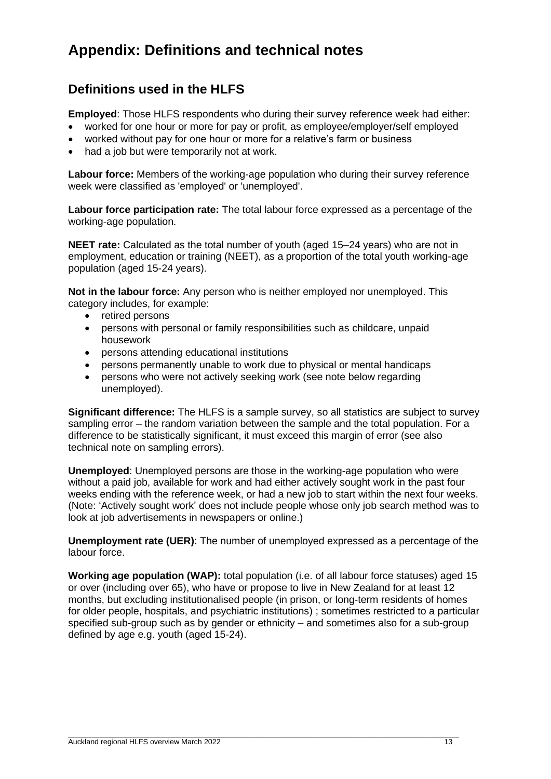### <span id="page-15-0"></span>**Appendix: Definitions and technical notes**

#### **Definitions used in the HLFS**

**Employed**: Those HLFS respondents who during their survey reference week had either:

- worked for one hour or more for pay or profit, as employee/employer/self employed
- worked without pay for one hour or more for a relative's farm or business
- had a job but were temporarily not at work.

**Labour force:** Members of the working-age population who during their survey reference week were classified as 'employed' or 'unemployed'.

**Labour force participation rate:** The total labour force expressed as a percentage of the working-age population.

**NEET rate:** Calculated as the total number of youth (aged 15–24 years) who are not in employment, education or training (NEET), as a proportion of the total youth working-age population (aged 15-24 years).

**Not in the labour force:** Any person who is neither employed nor unemployed. This category includes, for example:

- retired persons
- persons with personal or family responsibilities such as childcare, unpaid housework
- persons attending educational institutions
- persons permanently unable to work due to physical or mental handicaps
- persons who were not actively seeking work (see note below regarding unemployed).

**Significant difference:** The HLFS is a sample survey, so all statistics are subject to survey sampling error – the random variation between the sample and the total population. For a difference to be statistically significant, it must exceed this margin of error (see also technical note on sampling errors).

**Unemployed**: Unemployed persons are those in the working-age population who were without a paid job, available for work and had either actively sought work in the past four weeks ending with the reference week, or had a new job to start within the next four weeks. (Note: 'Actively sought work' does not include people whose only job search method was to look at job advertisements in newspapers or online.)

**Unemployment rate (UER)**: The number of unemployed expressed as a percentage of the labour force.

**Working age population (WAP):** total population (i.e. of all labour force statuses) aged 15 or over (including over 65), who have or propose to live in New Zealand for at least 12 months, but excluding institutionalised people (in prison, or long-term residents of homes for older people, hospitals, and psychiatric institutions) ; sometimes restricted to a particular specified sub-group such as by gender or ethnicity – and sometimes also for a sub-group defined by age e.g. youth (aged 15-24).